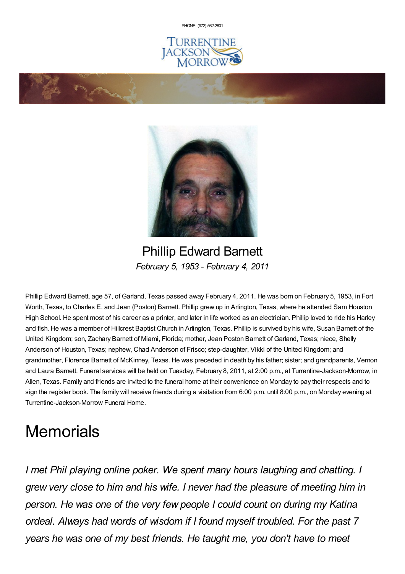PHONE: (972) [562-2601](tel:(972) 562-2601)







Phillip Edward Barnett *February 5, 1953 - February 4, 2011*

Phillip Edward Barnett, age 57, of Garland, Texas passed away February 4, 2011. He was born on February 5, 1953, in Fort Worth, Texas, to Charles E. and Jean (Poston) Barnett. Phillip grew up in Arlington, Texas, where he attended Sam Houston High School. He spent most of his career as a printer, and later in life worked as an electrician. Phillip loved to ride his Harley and fish. He was a member of Hillcrest Baptist Church in Arlington, Texas. Phillip is survived by his wife, Susan Barnett of the United Kingdom; son, Zachary Barnett of Miami, Florida; mother, Jean Poston Barnett of Garland, Texas; niece, Shelly Anderson of Houston, Texas; nephew, Chad Anderson of Frisco; step-daughter, Vikki of the United Kingdom; and grandmother, Florence Barnett of McKinney, Texas. He was preceded in death by his father; sister; and grandparents, Vernon and Laura Barnett. Funeral services will be held on Tuesday, February 8, 2011, at 2:00 p.m., at Turrentine-Jackson-Morrow, in Allen, Texas. Family and friends are invited to the funeral home at their convenience on Monday to pay their respects and to sign the register book. The family will receive friends during a visitation from 6:00 p.m. until 8:00 p.m., on Monday evening at Turrentine-Jackson-Morrow Funeral Home.

## **Memorials**

*I met Phil playing online poker. We spent many hours laughing and chatting. I grew very close to him and his wife. I never had the pleasure of meeting him in person. He was one of the very few people I could count on during my Katina ordeal. Always had words of wisdom if I found myself troubled. For the past 7 years he was one of my best friends. He taught me, you don't have to meet*